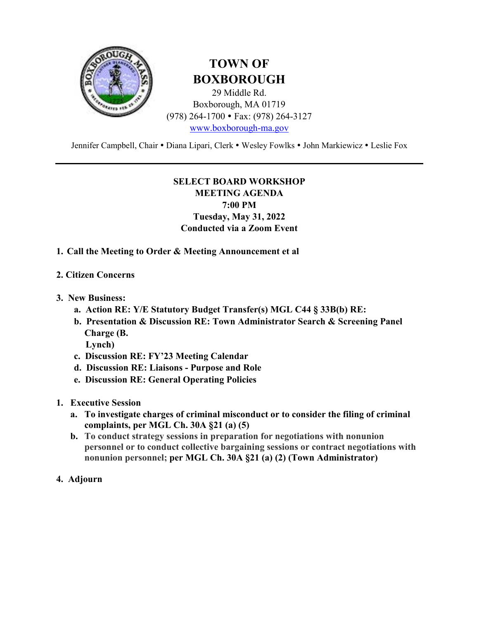

### **TOWN OF BOXBOROUGH**

29 Middle Rd. Boxborough, MA 01719 (978) 264-1700 Fax: (978) 264-3127 www.boxborough-ma.gov

Jennifer Campbell, Chair . Diana Lipari, Clerk . Wesley Fowlks . John Markiewicz . Leslie Fox

#### **SELECT BOARD WORKSHOP**

**MEETING AGENDA 7:00 PM Tuesday, May 31, 2022 Conducted via a Zoom Event** 

- **1. Call the Meeting to Order & Meeting Announcement et al**
- **2. Citizen Concerns**
- **3. New Business:** 
	- **a. Action RE: Y/E Statutory Budget Transfer(s) MGL C44 § 33B(b) RE:**
	- **b. Presentation & Discussion RE: Town Administrator Search & Screening Panel Charge (B.**

 **Lynch)** 

- **c. Discussion RE: FY'23 Meeting Calendar**
- **d. Discussion RE: Liaisons Purpose and Role**
- **e. Discussion RE: General Operating Policies**
- **1. Executive Session** 
	- **a. To investigate charges of criminal misconduct or to consider the filing of criminal complaints, per MGL Ch. 30A §21 (a) (5)**
	- **b. To conduct strategy sessions in preparation for negotiations with nonunion personnel or to conduct collective bargaining sessions or contract negotiations with nonunion personnel; per MGL Ch. 30A §21 (a) (2) (Town Administrator)**
- **4. Adjourn**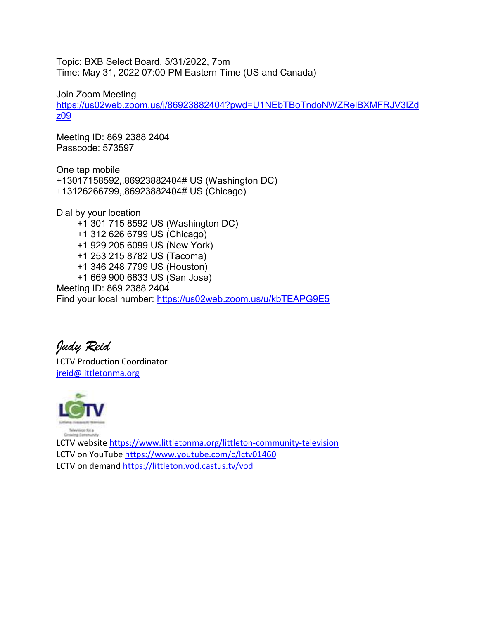Topic: BXB Select Board, 5/31/2022, 7pm Time: May 31, 2022 07:00 PM Eastern Time (US and Canada)

#### Join Zoom Meeting

https://us02web.zoom.us/j/86923882404?pwd=U1NEbTBoTndoNWZRelBXMFRJV3lZd z09

Meeting ID: 869 2388 2404 Passcode: 573597

One tap mobile +13017158592,,86923882404# US (Washington DC) +13126266799,,86923882404# US (Chicago)

Dial by your location +1 301 715 8592 US (Washington DC) +1 312 626 6799 US (Chicago) +1 929 205 6099 US (New York) +1 253 215 8782 US (Tacoma) +1 346 248 7799 US (Houston) +1 669 900 6833 US (San Jose) Meeting ID: 869 2388 2404 Find your local number: https://us02web.zoom.us/u/kbTEAPG9E5

*Judy Reid*

LCTV Production Coordinator jreid@littletonma.org



LCTV website https://www.littletonma.org/littleton-community-television LCTV on YouTube https://www.youtube.com/c/lctv01460 LCTV on demand https://littleton.vod.castus.tv/vod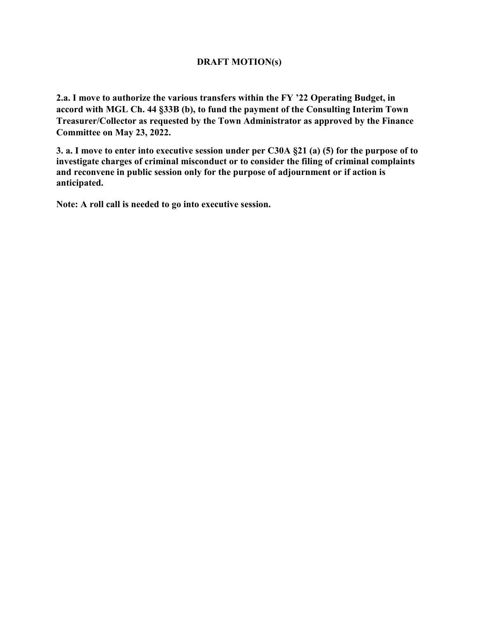#### **DRAFT MOTION(s)**

**2.a. I move to authorize the various transfers within the FY '22 Operating Budget, in accord with MGL Ch. 44 §33B (b), to fund the payment of the Consulting Interim Town Treasurer/Collector as requested by the Town Administrator as approved by the Finance Committee on May 23, 2022.** 

**3. a. I move to enter into executive session under per C30A §21 (a) (5) for the purpose of to investigate charges of criminal misconduct or to consider the filing of criminal complaints and reconvene in public session only for the purpose of adjournment or if action is anticipated.** 

**Note: A roll call is needed to go into executive session.**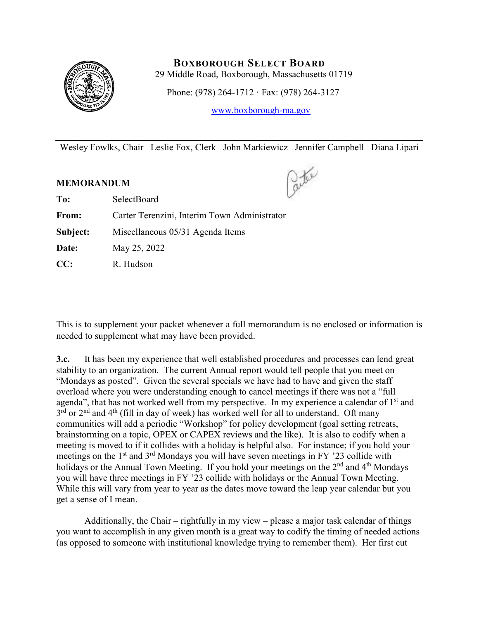

#### **BOXBOROUGH SELECT BOARD**

29 Middle Road, Boxborough, Massachusetts 01719

Phone: (978) 264-1712 **·** Fax: (978) 264-3127

www.boxborough-ma.gov

Wesley Fowlks, Chair Leslie Fox, Clerk John Markiewicz Jennifer Campbell Diana Lipari

#### **MEMORANDUM**

 $\frac{1}{2}$ 

 $\frac{1}{2}$ 

| To:      | SelectBoard                                  |  |
|----------|----------------------------------------------|--|
| From:    | Carter Terenzini, Interim Town Administrator |  |
| Subject: | Miscellaneous 05/31 Agenda Items             |  |
| Date:    | May 25, 2022                                 |  |
| CC:      | R. Hudson                                    |  |
|          |                                              |  |

This is to supplement your packet whenever a full memorandum is no enclosed or information is needed to supplement what may have been provided.

\_\_\_\_\_\_\_\_\_\_\_\_\_\_\_\_\_\_\_\_\_\_\_\_\_\_\_\_\_\_\_\_\_\_\_\_\_\_\_\_\_\_\_\_\_\_\_\_\_\_\_\_\_\_\_\_\_\_\_\_\_\_\_\_\_\_\_\_\_\_\_\_\_\_\_\_\_\_

**3.c.** It has been my experience that well established procedures and processes can lend great stability to an organization. The current Annual report would tell people that you meet on "Mondays as posted". Given the several specials we have had to have and given the staff overload where you were understanding enough to cancel meetings if there was not a "full agenda", that has not worked well from my perspective. In my experience a calendar of  $1<sup>st</sup>$  and  $3<sup>rd</sup>$  or  $2<sup>nd</sup>$  and  $4<sup>th</sup>$  (fill in day of week) has worked well for all to understand. Oft many communities will add a periodic "Workshop" for policy development (goal setting retreats, brainstorming on a topic, OPEX or CAPEX reviews and the like). It is also to codify when a meeting is moved to if it collides with a holiday is helpful also. For instance; if you hold your meetings on the  $1<sup>st</sup>$  and  $3<sup>rd</sup>$  Mondays you will have seven meetings in FY '23 collide with holidays or the Annual Town Meeting. If you hold your meetings on the  $2<sup>nd</sup>$  and  $4<sup>th</sup>$  Mondays you will have three meetings in FY '23 collide with holidays or the Annual Town Meeting. While this will vary from year to year as the dates move toward the leap year calendar but you get a sense of I mean.

 Additionally, the Chair – rightfully in my view – please a major task calendar of things you want to accomplish in any given month is a great way to codify the timing of needed actions (as opposed to someone with institutional knowledge trying to remember them). Her first cut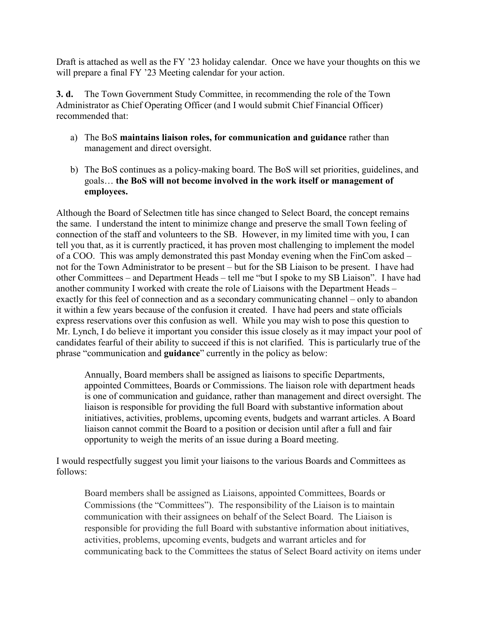Draft is attached as well as the FY '23 holiday calendar. Once we have your thoughts on this we will prepare a final FY '23 Meeting calendar for your action.

**3. d.** The Town Government Study Committee, in recommending the role of the Town Administrator as Chief Operating Officer (and I would submit Chief Financial Officer) recommended that:

- a) The BoS **maintains liaison roles, for communication and guidance** rather than management and direct oversight.
- b) The BoS continues as a policy-making board. The BoS will set priorities, guidelines, and goals… **the BoS will not become involved in the work itself or management of employees.**

Although the Board of Selectmen title has since changed to Select Board, the concept remains the same. I understand the intent to minimize change and preserve the small Town feeling of connection of the staff and volunteers to the SB. However, in my limited time with you, I can tell you that, as it is currently practiced, it has proven most challenging to implement the model of a COO. This was amply demonstrated this past Monday evening when the FinCom asked – not for the Town Administrator to be present – but for the SB Liaison to be present. I have had other Committees – and Department Heads – tell me "but I spoke to my SB Liaison". I have had another community I worked with create the role of Liaisons with the Department Heads – exactly for this feel of connection and as a secondary communicating channel – only to abandon it within a few years because of the confusion it created. I have had peers and state officials express reservations over this confusion as well. While you may wish to pose this question to Mr. Lynch, I do believe it important you consider this issue closely as it may impact your pool of candidates fearful of their ability to succeed if this is not clarified. This is particularly true of the phrase "communication and **guidance**" currently in the policy as below:

Annually, Board members shall be assigned as liaisons to specific Departments, appointed Committees, Boards or Commissions. The liaison role with department heads is one of communication and guidance, rather than management and direct oversight. The liaison is responsible for providing the full Board with substantive information about initiatives, activities, problems, upcoming events, budgets and warrant articles. A Board liaison cannot commit the Board to a position or decision until after a full and fair opportunity to weigh the merits of an issue during a Board meeting.

I would respectfully suggest you limit your liaisons to the various Boards and Committees as follows:

Board members shall be assigned as Liaisons, appointed Committees, Boards or Commissions (the "Committees"). The responsibility of the Liaison is to maintain communication with their assignees on behalf of the Select Board. The Liaison is responsible for providing the full Board with substantive information about initiatives, activities, problems, upcoming events, budgets and warrant articles and for communicating back to the Committees the status of Select Board activity on items under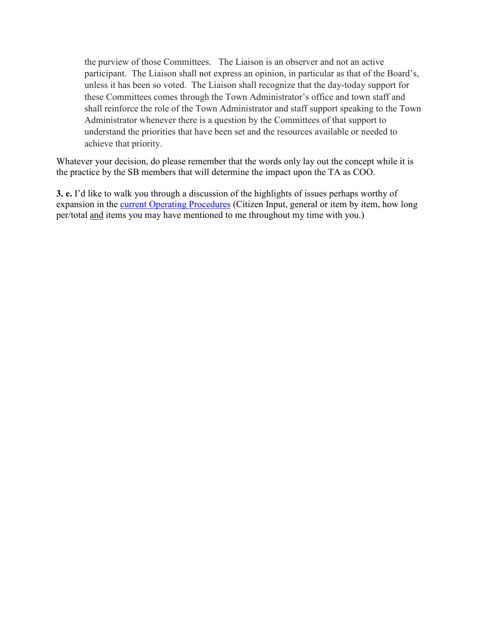the purview of those Committees. The Liaison is an observer and not an active participant. The Liaison shall not express an opinion, in particular as that of the Board's, unless it has been so voted. The Liaison shall recognize that the day-today support for these Committees comes through the Town Administrator's office and town staff and shall reinforce the role of the Town Administrator and staff support speaking to the Town Administrator whenever there is a question by the Committees of that support to understand the priorities that have been set and the resources available or needed to achieve that priority.

Whatever your decision, do please remember that the words only lay out the concept while it is the practice by the SB members that will determine the impact upon the TA as COO.

**3. e.** I'd like to walk you through a discussion of the highlights of issues perhaps worthy of expansion in the current Operating Procedures (Citizen Input, general or item by item, how long per/total and items you may have mentioned to me throughout my time with you.)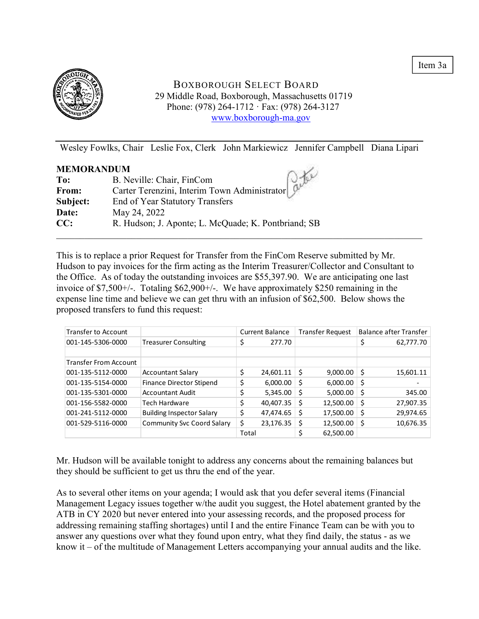Item 3a



#### BOXBOROUGH SELECT BOARD 29 Middle Road, Boxborough, Massachusetts 01719 Phone: (978) 264-1712 · Fax: (978) 264-3127 www.boxborough-ma.gov

Wesley Fowlks, Chair Leslie Fox, Clerk John Markiewicz Jennifer Campbell Diana Lipari

| <b>MEMORANDUM</b> |                                                                  |
|-------------------|------------------------------------------------------------------|
| To:               | B. Neville: Chair, FinCom                                        |
| From:             | Carter Terenzini, Interim Town Administrator $\int_{0}^{\infty}$ |
| Subject:          | End of Year Statutory Transfers                                  |
| Date:             | May 24, 2022                                                     |
| CC:               | R. Hudson; J. Aponte; L. McQuade; K. Pontbriand; SB              |
|                   |                                                                  |

This is to replace a prior Request for Transfer from the FinCom Reserve submitted by Mr. Hudson to pay invoices for the firm acting as the Interim Treasurer/Collector and Consultant to the Office. As of today the outstanding invoices are \$55,397.90. We are anticipating one last invoice of \$7,500+/-. Totaling \$62,900+/-. We have approximately \$250 remaining in the expense line time and believe we can get thru with an infusion of \$62,500. Below shows the proposed transfers to fund this request:

| <b>Transfer to Account</b>   |                                   |       | <b>Current Balance</b> |    | <b>Transfer Request</b> |    | Balance after Transfer |
|------------------------------|-----------------------------------|-------|------------------------|----|-------------------------|----|------------------------|
| 001-145-5306-0000            | <b>Treasurer Consulting</b>       | \$    | 277.70                 |    |                         |    | 62,777.70              |
|                              |                                   |       |                        |    |                         |    |                        |
| <b>Transfer From Account</b> |                                   |       |                        |    |                         |    |                        |
| 001-135-5112-0000            | <b>Accountant Salary</b>          | \$    | 24,601.11              | Ŝ  | $9,000.00$   \$         |    | 15,601.11              |
| 001-135-5154-0000            | Finance Director Stipend          | \$    | 6,000.00               | S  | 6,000.00                | S  |                        |
| 001-135-5301-0000            | <b>Accountant Audit</b>           | \$    | 5,345.00               | Ś  | 5,000.00                | -S | 345.00                 |
| 001-156-5582-0000            | <b>Tech Hardware</b>              | \$    | 40,407.35              | S  | 12,500.00               | S  | 27,907.35              |
| 001-241-5112-0000            | <b>Building Inspector Salary</b>  | \$    | 47,474.65              | \$ | 17,500.00               | S  | 29,974.65              |
| 001-529-5116-0000            | <b>Community Svc Coord Salary</b> | \$    | 23,176.35              | \$ | 12,500.00               | S  | 10,676.35              |
|                              |                                   | Total |                        |    | 62,500.00               |    |                        |

Mr. Hudson will be available tonight to address any concerns about the remaining balances but they should be sufficient to get us thru the end of the year.

As to several other items on your agenda; I would ask that you defer several items (Financial Management Legacy issues together w/the audit you suggest, the Hotel abatement granted by the ATB in CY 2020 but never entered into your assessing records, and the proposed process for addressing remaining staffing shortages) until I and the entire Finance Team can be with you to answer any questions over what they found upon entry, what they find daily, the status - as we know it – of the multitude of Management Letters accompanying your annual audits and the like.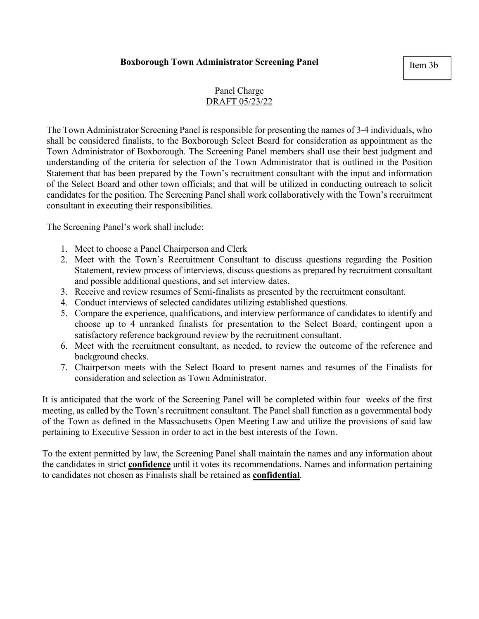#### **Boxborough Town Administrator Screening Panel**

Item 3b

#### Panel Charge DRAFT 05/23/22

The Town Administrator Screening Panel is responsible for presenting the names of 3-4 individuals, who shall be considered finalists, to the Boxborough Select Board for consideration as appointment as the Town Administrator of Boxborough. The Screening Panel members shall use their best judgment and understanding of the criteria for selection of the Town Administrator that is outlined in the Position Statement that has been prepared by the Town's recruitment consultant with the input and information of the Select Board and other town officials; and that will be utilized in conducting outreach to solicit candidates for the position. The Screening Panel shall work collaboratively with the Town's recruitment consultant in executing their responsibilities.

The Screening Panel's work shall include:

- 1. Meet to choose a Panel Chairperson and Clerk
- 2. Meet with the Town's Recruitment Consultant to discuss questions regarding the Position Statement, review process of interviews, discuss questions as prepared by recruitment consultant and possible additional questions, and set interview dates.
- 3. Receive and review resumes of Semi-finalists as presented by the recruitment consultant.
- 4. Conduct interviews of selected candidates utilizing established questions.
- 5. Compare the experience, qualifications, and interview performance of candidates to identify and choose up to 4 unranked finalists for presentation to the Select Board, contingent upon a satisfactory reference background review by the recruitment consultant.
- 6. Meet with the recruitment consultant, as needed, to review the outcome of the reference and background checks.
- 7. Chairperson meets with the Select Board to present names and resumes of the Finalists for consideration and selection as Town Administrator.

It is anticipated that the work of the Screening Panel will be completed within four weeks of the first meeting, as called by the Town's recruitment consultant. The Panel shall function as a governmental body of the Town as defined in the Massachusetts Open Meeting Law and utilize the provisions of said law pertaining to Executive Session in order to act in the best interests of the Town.

To the extent permitted by law, the Screening Panel shall maintain the names and any information about the candidates in strict **confidence** until it votes its recommendations. Names and information pertaining to candidates not chosen as Finalists shall be retained as **confidential**.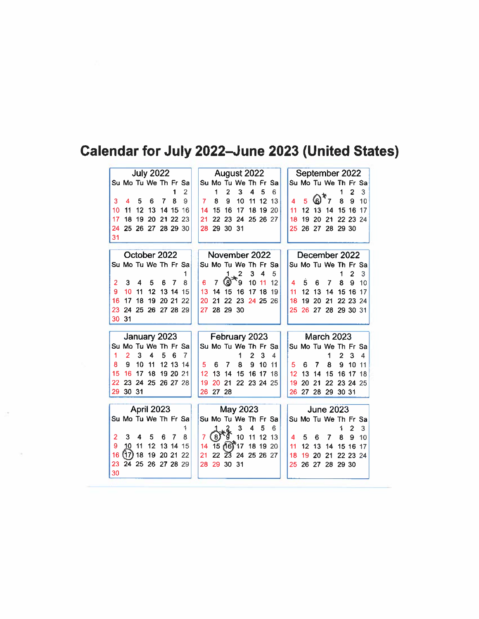## Calendar for July 2022-June 2023 (United States)

|                |                |    | <b>July 2022</b>     |       |          |           | August 2022 |       |                  |                      |                |          |          |    | September 2022 |    |                      |                |                |         |
|----------------|----------------|----|----------------------|-------|----------|-----------|-------------|-------|------------------|----------------------|----------------|----------|----------|----|----------------|----|----------------------|----------------|----------------|---------|
|                |                |    | Su Mo Tu We Th Fr Sa |       |          |           |             |       |                  | Su Mo Tu We Th Fr Sa |                |          |          |    |                |    | Su Mo Tu We Th Fr Sa |                |                |         |
|                |                |    |                      |       | 1        | 2         |             | 1     | 2                | 3                    | 4              | 5        | 6        |    |                |    |                      | 1              | $\overline{2}$ | 3       |
| 3              | 4              | 5  | 6                    | 7     | 8        | 9         | 7           | 8     | 9                | 10                   | 11             | 12       | 13       |    |                | (ව | 7                    | 8              | 9              | 10      |
| 10             | 11             | 12 | 13                   | 14    | 15       | 16        | 14          | 15    | 16               | 17                   | 18             | 19       | 20       | 11 | 12             | 13 | 14                   | 15 16          |                | 17      |
| 17             | 18             | 19 | 20                   | 21    | 22       | 23        | 21          | 22    | 23               | 24                   |                | 25 26 27 |          | 18 | 19             | 20 | 21                   |                | 22 23 24       |         |
| 24             | 25             | 26 | 27                   |       | 28 29    | 30        | 28          | 29    | 30               | 31                   |                |          |          | 25 | 26             | 27 | 28                   | 29 30          |                |         |
| 31             |                |    |                      |       |          |           |             |       |                  |                      |                |          |          |    |                |    |                      |                |                |         |
|                |                |    | October 2022         |       |          |           |             |       |                  | November 2022        |                |          |          |    |                |    |                      |                |                |         |
|                |                |    |                      |       |          |           |             |       |                  |                      |                |          |          |    |                |    | December 2022        |                |                |         |
|                |                |    | Su Mo Tu We Th Fr Sa |       |          |           |             |       |                  | Su Mo Tu We Th Fr Sa |                |          |          |    |                |    | Su Mo Tu We Th Fr Sa |                | $\overline{2}$ |         |
| 2              | 3              | 4  | 5                    | 6     | 7        | 8         | 6           | 7     | 1<br>(8)         | 2<br>9               | 3<br>10        | 4<br>11  | 5.<br>12 | 4  | 5              | 6  | 7                    | 1<br>8         | 9              | 3<br>10 |
| 9              | 10             | 11 | 12                   | 13    | 14       | 15        | 13          | 14    | 15               | 16                   | 17             | 18       | 19       | 11 | 12             | 13 | 14                   | 15             | 16             | 17      |
| 16             | 17             | 18 | 19                   | 20 21 |          | 22        | 20          | 21    | 22               | 23                   |                | 24 25 26 |          | 18 | 19             | 20 | 21                   |                | 22 23 24       |         |
| 23             | 24             | 25 | 26 27 28 29          |       |          |           | 27          | 28    | 29 30            |                      |                |          |          | 25 | 26             | 27 | 28                   | 29 30 31       |                |         |
| 30             | 31             |    |                      |       |          |           |             |       |                  |                      |                |          |          |    |                |    |                      |                |                |         |
|                |                |    |                      |       |          |           |             |       |                  |                      |                |          |          |    |                |    |                      |                |                |         |
|                |                |    |                      |       |          |           |             |       |                  |                      |                |          |          |    |                |    |                      |                |                |         |
|                |                |    | January 2023         |       |          |           |             |       |                  | February 2023        |                |          |          |    |                |    | <b>March 2023</b>    |                |                |         |
|                |                |    | Su Mo Tu We Th Fr    |       |          | <b>Sa</b> |             |       |                  | Su Mo Tu We Th Fr Sa |                |          |          |    |                |    | Su Mo Tu We Th Fr Sa |                |                |         |
| 1              | $\overline{2}$ | 3  | 4                    | 5     | 6        | 7         |             |       |                  | 1                    | $\overline{2}$ | 3        | 4        |    |                |    | 1                    | $\overline{2}$ | 3              | 4       |
| 8              | 9              | 10 | 11                   | 12    | 13       | 14        | 5           | 6     | 7                | 8                    | 9              | 10       | 11       | 5  | 6              | 7  | 8                    | $\mathbf{9}$   | 10             | 11      |
| 15             | 16             | 17 | 18                   |       | 19 20    | 21        | 12          | 13    | 14               | 15                   | 16             | -17      | 18       | 12 | 13             | 14 | 15                   | 16             | 17             | 18      |
| 22             | 23             | 24 | 25                   |       | 26 27 28 |           | 19          | 20    | 21               | 22 23 24 25          |                |          |          | 19 | 20             | 21 | 22                   | 23 24          |                | 25      |
| 29.            | 30 31          |    |                      |       |          |           | 26          | 27 28 |                  |                      |                |          |          | 26 | 27             | 28 | -29                  | 30 31          |                |         |
|                |                |    |                      |       |          |           |             |       |                  |                      |                |          |          |    |                |    |                      |                |                |         |
|                |                |    | April 2023           |       |          |           |             |       |                  | May 2023             |                |          |          |    |                |    | <b>June 2023</b>     |                |                |         |
|                |                |    | Su Mo Tu We Th Fr Sa |       |          |           |             |       |                  | Su Mo Tu We Th Fr Sa |                |          |          |    |                |    | Su Mo Tu We Th Fr Sa |                |                |         |
|                |                |    |                      |       |          | 1         |             |       |                  | 3                    | 4              | 5        | 6        |    |                |    |                      | 1              | 2              | 3       |
| $\overline{2}$ | 3              | 4  | 5                    | 6     | 7        | 8         |             |       |                  | 10                   | 11             | 12       | 13       | 4  | 5              | 6  | 7                    | 8              | 9              | 10      |
| 9              | 10             | 11 | 12                   | 13    | 14       | 15        | 14          |       | $15 \, 16$       | 17                   | 18             | 19       | -20      | 11 | 12             | 13 | 14                   | 15             | 16             | 17      |
| 16             | (17)           | 18 | 19                   |       | 20 21    | 22        | 21          | 22    | $\widetilde{23}$ | 24                   |                | 25 26 27 |          | 18 | 19             | 20 | 21                   | 22 23          |                | 24      |
| 23<br>30       | 24 25          |    | 26                   |       | 27 28 29 |           | 28          | 29    | 30               | 31                   |                |          |          | 25 | 26             | 27 | 28                   | 29 30          |                |         |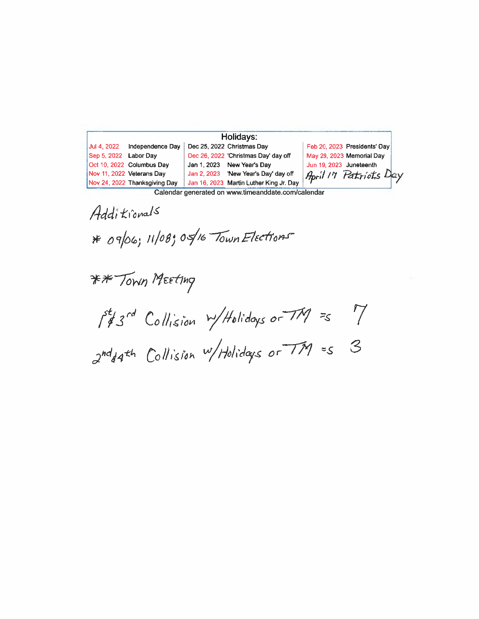|                       |                               | Holidays:                               |                              |
|-----------------------|-------------------------------|-----------------------------------------|------------------------------|
| Jul 4, 2022           | Independence Day              | Dec 25, 2022 Christmas Day              | Feb 20, 2023 Presidents' Day |
| Sep 5, 2022 Labor Day |                               | Dec 26, 2022 'Christmas Day' day off    | May 29, 2023 Memorial Day    |
|                       | Oct 10, 2022 Columbus Day     | Jan 1, 2023 New Year's Day              | Jun 19, 2023 Juneteenth      |
|                       | Nov 11, 2022 Veterans Day     | Jan 2, 2023 'New Year's Day' day off    | April 17 Patriots Day        |
|                       | Nov 24, 2022 Thanksgiving Day | Jan 16, 2023 Martin Luther King Jr. Day |                              |

Calendar generated on www.timeanddate.com/calendar

Additionals \* 09/06; 11/08; 05/16 Town Elections

\*\* Town Meeting

 $\int_{4}^{5t}3^{rd}$  Collision  $w/H$ olidays or  $TM = 7$ <br> $2^{nd}44^{th}$  Collision  $w/H$ olidays or  $TM = 5$  3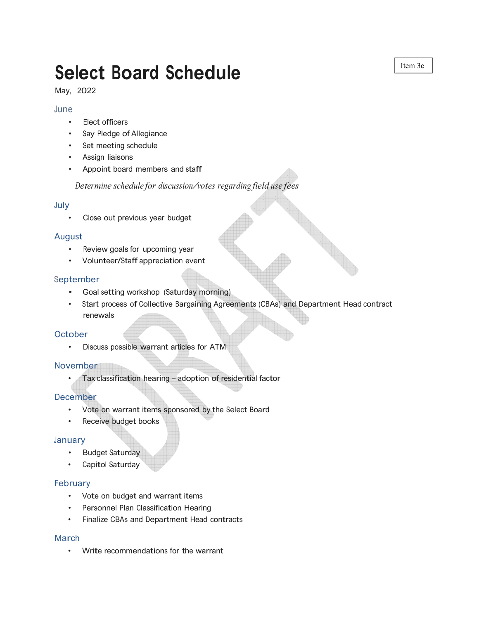# **Select Board Schedule**

May, 2022

#### June

- Elect officers
- Say Pledge of Allegiance
- Set meeting schedule
- Assign liaisons
- Appoint board members and staff

*Determine schedule for discussion/votes regarding field use fees*

#### July

Close out previous year budget

#### August

- Review goals for upcoming year
- Volunteer/Staff appreciation event

#### September

- Goal setting workshop (Saturday morning)
- Start process of Collective Bargaining Agreements (CBAs) and Department Head contract renewals

#### **October**

• Discuss possible warrant articles for ATM

#### November

• Tax classification hearing - adoption of residential factor

#### December

- Vote on warrant items sponsored by the Select Board
- Receive budget books

#### January

- Budget Saturday
- Capitol Saturday

#### February

- Vote on budget and warrant items
- Personnel Plan Classification Hearing
- Finalize CBAs and Department Head contracts

#### March

• Write recommendations for the warrant

Item 3c